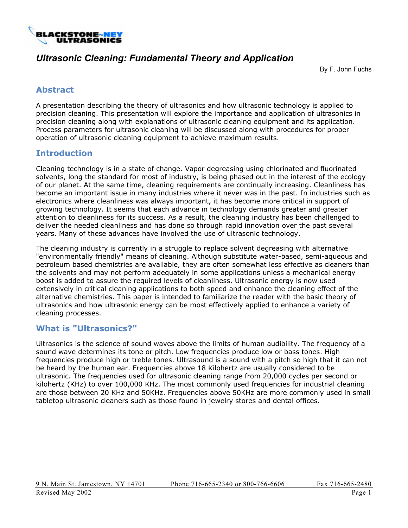

*Ultrasonic Cleaning: Fundamental Theory and Application* 

By F. John Fuchs

## **Abstract**

A presentation describing the theory of ultrasonics and how ultrasonic technology is applied to precision cleaning. This presentation will explore the importance and application of ultrasonics in precision cleaning along with explanations of ultrasonic cleaning equipment and its application. Process parameters for ultrasonic cleaning will be discussed along with procedures for proper operation of ultrasonic cleaning equipment to achieve maximum results.

# **Introduction**

Cleaning technology is in a state of change. Vapor degreasing using chlorinated and fluorinated solvents, long the standard for most of industry, is being phased out in the interest of the ecology of our planet. At the same time, cleaning requirements are continually increasing. Cleanliness has become an important issue in many industries where it never was in the past. In industries such as electronics where cleanliness was always important, it has become more critical in support of growing technology. It seems that each advance in technology demands greater and greater attention to cleanliness for its success. As a result, the cleaning industry has been challenged to deliver the needed cleanliness and has done so through rapid innovation over the past several years. Many of these advances have involved the use of ultrasonic technology.

The cleaning industry is currently in a struggle to replace solvent degreasing with alternative "environmentally friendly" means of cleaning. Although substitute water-based, semi-aqueous and petroleum based chemistries are available, they are often somewhat less effective as cleaners than the solvents and may not perform adequately in some applications unless a mechanical energy boost is added to assure the required levels of cleanliness. Ultrasonic energy is now used extensively in critical cleaning applications to both speed and enhance the cleaning effect of the alternative chemistries. This paper is intended to familiarize the reader with the basic theory of ultrasonics and how ultrasonic energy can be most effectively applied to enhance a variety of cleaning processes.

### **What is "Ultrasonics?"**

Ultrasonics is the science of sound waves above the limits of human audibility. The frequency of a sound wave determines its tone or pitch. Low frequencies produce low or bass tones. High frequencies produce high or treble tones. Ultrasound is a sound with a pitch so high that it can not be heard by the human ear. Frequencies above 18 Kilohertz are usually considered to be ultrasonic. The frequencies used for ultrasonic cleaning range from 20,000 cycles per second or kilohertz (KHz) to over 100,000 KHz. The most commonly used frequencies for industrial cleaning are those between 20 KHz and 50KHz. Frequencies above 50KHz are more commonly used in small tabletop ultrasonic cleaners such as those found in jewelry stores and dental offices.

9 N. Main St. Jamestown, NY 14701 Phone 716-665-2340 or 800-766-6606 Fax 716-665-2480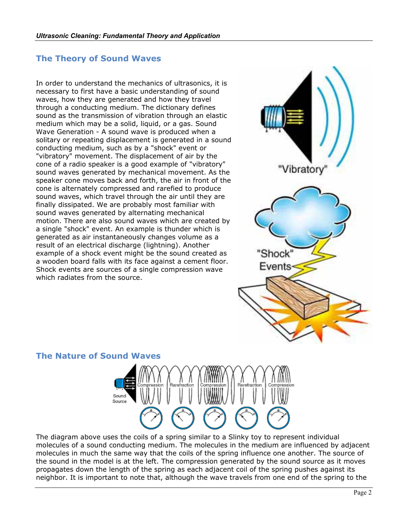# **The Theory of Sound Waves**

In order to understand the mechanics of ultrasonics, it is necessary to first have a basic understanding of sound waves, how they are generated and how they travel through a conducting medium. The dictionary defines sound as the transmission of vibration through an elastic medium which may be a solid, liquid, or a gas. Sound Wave Generation - A sound wave is produced when a solitary or repeating displacement is generated in a sound conducting medium, such as by a "shock" event or "vibratory" movement. The displacement of air by the cone of a radio speaker is a good example of "vibratory" sound waves generated by mechanical movement. As the speaker cone moves back and forth, the air in front of the cone is alternately compressed and rarefied to produce sound waves, which travel through the air until they are finally dissipated. We are probably most familiar with sound waves generated by alternating mechanical motion. There are also sound waves which are created by a single "shock" event. An example is thunder which is generated as air instantaneously changes volume as a result of an electrical discharge (lightning). Another example of a shock event might be the sound created as a wooden board falls with its face against a cement floor. Shock events are sources of a single compression wave which radiates from the source.



#### **The Nature of Sound Waves**



The diagram above uses the coils of a spring similar to a Slinky toy to represent individual molecules of a sound conducting medium. The molecules in the medium are influenced by adjacent molecules in much the same way that the coils of the spring influence one another. The source of the sound in the model is at the left. The compression generated by the sound source as it moves propagates down the length of the spring as each adjacent coil of the spring pushes against its neighbor. It is important to note that, although the wave travels from one end of the spring to the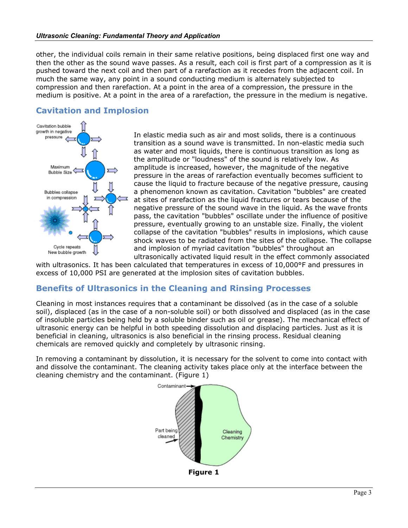other, the individual coils remain in their same relative positions, being displaced first one way and then the other as the sound wave passes. As a result, each coil is first part of a compression as it is pushed toward the next coil and then part of a rarefaction as it recedes from the adjacent coil. In much the same way, any point in a sound conducting medium is alternately subjected to compression and then rarefaction. At a point in the area of a compression, the pressure in the medium is positive. At a point in the area of a rarefaction, the pressure in the medium is negative.

#### **Cavitation and Implosion**



In elastic media such as air and most solids, there is a continuous transition as a sound wave is transmitted. In non-elastic media such as water and most liquids, there is continuous transition as long as the amplitude or "loudness" of the sound is relatively low. As amplitude is increased, however, the magnitude of the negative pressure in the areas of rarefaction eventually becomes sufficient to cause the liquid to fracture because of the negative pressure, causing a phenomenon known as cavitation. Cavitation "bubbles" are created at sites of rarefaction as the liquid fractures or tears because of the negative pressure of the sound wave in the liquid. As the wave fronts pass, the cavitation "bubbles" oscillate under the influence of positive pressure, eventually growing to an unstable size. Finally, the violent collapse of the cavitation "bubbles" results in implosions, which cause shock waves to be radiated from the sites of the collapse. The collapse and implosion of myriad cavitation "bubbles" throughout an ultrasonically activated liquid result in the effect commonly associated

with ultrasonics. It has been calculated that temperatures in excess of 10,000°F and pressures in excess of 10,000 PSI are generated at the implosion sites of cavitation bubbles.

### **Benefits of Ultrasonics in the Cleaning and Rinsing Processes**

Cleaning in most instances requires that a contaminant be dissolved (as in the case of a soluble soil), displaced (as in the case of a non-soluble soil) or both dissolved and displaced (as in the case of insoluble particles being held by a soluble binder such as oil or grease). The mechanical effect of ultrasonic energy can be helpful in both speeding dissolution and displacing particles. Just as it is beneficial in cleaning, ultrasonics is also beneficial in the rinsing process. Residual cleaning chemicals are removed quickly and completely by ultrasonic rinsing.

In removing a contaminant by dissolution, it is necessary for the solvent to come into contact with and dissolve the contaminant. The cleaning activity takes place only at the interface between the cleaning chemistry and the contaminant. (Figure 1)

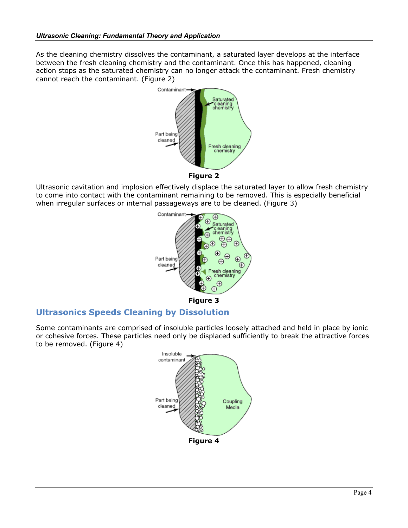As the cleaning chemistry dissolves the contaminant, a saturated layer develops at the interface between the fresh cleaning chemistry and the contaminant. Once this has happened, cleaning action stops as the saturated chemistry can no longer attack the contaminant. Fresh chemistry cannot reach the contaminant. (Figure 2)



Ultrasonic cavitation and implosion effectively displace the saturated layer to allow fresh chemistry to come into contact with the contaminant remaining to be removed. This is especially beneficial when irregular surfaces or internal passageways are to be cleaned. (Figure 3)



# **Ultrasonics Speeds Cleaning by Dissolution**

Some contaminants are comprised of insoluble particles loosely attached and held in place by ionic or cohesive forces. These particles need only be displaced sufficiently to break the attractive forces to be removed. (Figure 4)

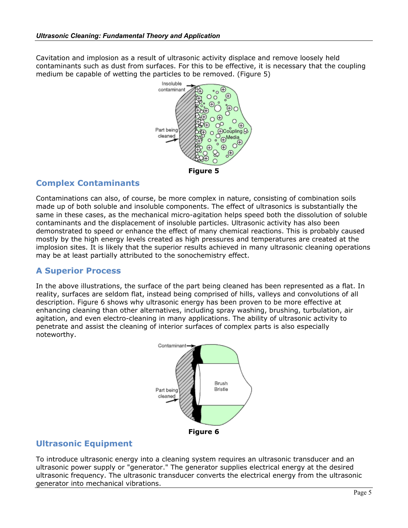Cavitation and implosion as a result of ultrasonic activity displace and remove loosely held contaminants such as dust from surfaces. For this to be effective, it is necessary that the coupling medium be capable of wetting the particles to be removed. (Figure 5)



# **Complex Contaminants**

Contaminations can also, of course, be more complex in nature, consisting of combination soils made up of both soluble and insoluble components. The effect of ultrasonics is substantially the same in these cases, as the mechanical micro-agitation helps speed both the dissolution of soluble contaminants and the displacement of insoluble particles. Ultrasonic activity has also been demonstrated to speed or enhance the effect of many chemical reactions. This is probably caused mostly by the high energy levels created as high pressures and temperatures are created at the implosion sites. It is likely that the superior results achieved in many ultrasonic cleaning operations may be at least partially attributed to the sonochemistry effect.

### **A Superior Process**

In the above illustrations, the surface of the part being cleaned has been represented as a flat. In reality, surfaces are seldom flat, instead being comprised of hills, valleys and convolutions of all description. Figure 6 shows why ultrasonic energy has been proven to be more effective at enhancing cleaning than other alternatives, including spray washing, brushing, turbulation, air agitation, and even electro-cleaning in many applications. The ability of ultrasonic activity to penetrate and assist the cleaning of interior surfaces of complex parts is also especially noteworthy.



# **Ultrasonic Equipment**

To introduce ultrasonic energy into a cleaning system requires an ultrasonic transducer and an ultrasonic power supply or "generator." The generator supplies electrical energy at the desired ultrasonic frequency. The ultrasonic transducer converts the electrical energy from the ultrasonic generator into mechanical vibrations.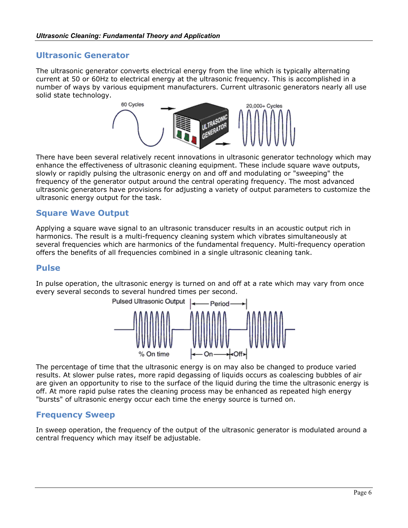#### **Ultrasonic Generator**

The ultrasonic generator converts electrical energy from the line which is typically alternating current at 50 or 60Hz to electrical energy at the ultrasonic frequency. This is accomplished in a number of ways by various equipment manufacturers. Current ultrasonic generators nearly all use solid state technology.



There have been several relatively recent innovations in ultrasonic generator technology which may enhance the effectiveness of ultrasonic cleaning equipment. These include square wave outputs, slowly or rapidly pulsing the ultrasonic energy on and off and modulating or "sweeping" the frequency of the generator output around the central operating frequency. The most advanced ultrasonic generators have provisions for adjusting a variety of output parameters to customize the ultrasonic energy output for the task.

#### **Square Wave Output**

Applying a square wave signal to an ultrasonic transducer results in an acoustic output rich in harmonics. The result is a multi-frequency cleaning system which vibrates simultaneously at several frequencies which are harmonics of the fundamental frequency. Multi-frequency operation offers the benefits of all frequencies combined in a single ultrasonic cleaning tank.

#### **Pulse**

In pulse operation, the ultrasonic energy is turned on and off at a rate which may vary from once every several seconds to several hundred times per second.



The percentage of time that the ultrasonic energy is on may also be changed to produce varied results. At slower pulse rates, more rapid degassing of liquids occurs as coalescing bubbles of air are given an opportunity to rise to the surface of the liquid during the time the ultrasonic energy is off. At more rapid pulse rates the cleaning process may be enhanced as repeated high energy "bursts" of ultrasonic energy occur each time the energy source is turned on.

### **Frequency Sweep**

In sweep operation, the frequency of the output of the ultrasonic generator is modulated around a central frequency which may itself be adjustable.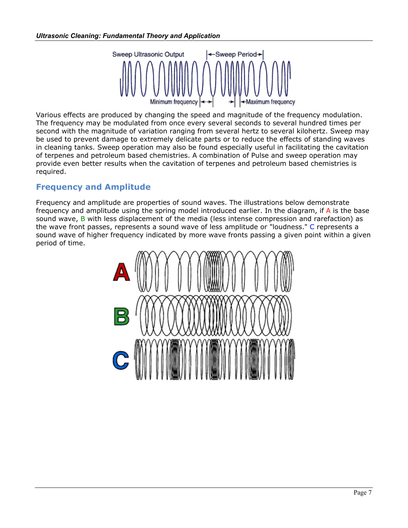

Various effects are produced by changing the speed and magnitude of the frequency modulation. The frequency may be modulated from once every several seconds to several hundred times per second with the magnitude of variation ranging from several hertz to several kilohertz. Sweep may be used to prevent damage to extremely delicate parts or to reduce the effects of standing waves in cleaning tanks. Sweep operation may also be found especially useful in facilitating the cavitation of terpenes and petroleum based chemistries. A combination of Pulse and sweep operation may provide even better results when the cavitation of terpenes and petroleum based chemistries is required.

# **Frequency and Amplitude**

Frequency and amplitude are properties of sound waves. The illustrations below demonstrate frequency and amplitude using the spring model introduced earlier. In the diagram, if  $A$  is the base sound wave, B with less displacement of the media (less intense compression and rarefaction) as the wave front passes, represents a sound wave of less amplitude or "loudness." C represents a sound wave of higher frequency indicated by more wave fronts passing a given point within a given period of time.

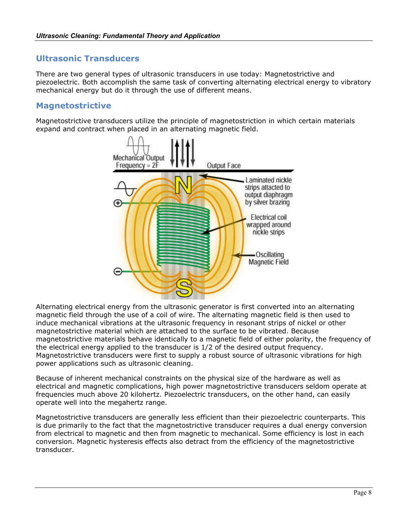#### **Ultrasonic Transducers**

There are two general types of ultrasonic transducers in use today: Magnetostrictive and piezoelectric. Both accomplish the same task of converting alternating electrical energy to vibratory mechanical energy but do it through the use of different means.

#### **Magnetostrictive**

Magnetostrictive transducers utilize the principle of magnetostriction in which certain materials expand and contract when placed in an alternating magnetic field.



Alternating electrical energy from the ultrasonic generator is first converted into an alternating magnetic field through the use of a coil of wire. The alternating magnetic field is then used to induce mechanical vibrations at the ultrasonic frequency in resonant strips of nickel or other magnetostrictive material which are attached to the surface to be vibrated. Because magnetostrictive materials behave identically to a magnetic field of either polarity, the frequency of the electrical energy applied to the transducer is 1/2 of the desired output frequency. Magnetostrictive transducers were first to supply a robust source of ultrasonic vibrations for high power applications such as ultrasonic cleaning.

Because of inherent mechanical constraints on the physical size of the hardware as well as electrical and magnetic complications, high power magnetostrictive transducers seldom operate at frequencies much above 20 kilohertz. Piezoelectric transducers, on the other hand, can easily operate well into the megahertz range.

Magnetostrictive transducers are generally less efficient than their piezoelectric counterparts. This is due primarily to the fact that the magnetostrictive transducer requires a dual energy conversion from electrical to magnetic and then from magnetic to mechanical. Some efficiency is lost in each conversion. Magnetic hysteresis effects also detract from the efficiency of the magnetostrictive transducer.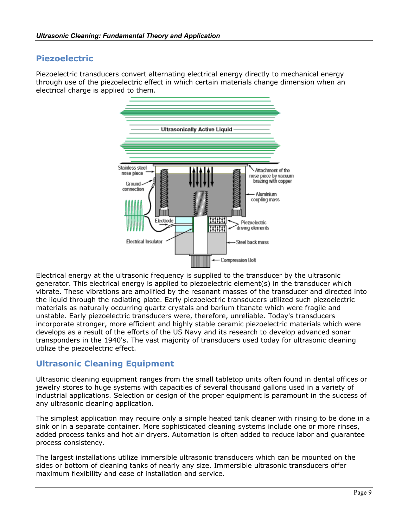## **Piezoelectric**

Piezoelectric transducers convert alternating electrical energy directly to mechanical energy through use of the piezoelectric effect in which certain materials change dimension when an electrical charge is applied to them.



Electrical energy at the ultrasonic frequency is supplied to the transducer by the ultrasonic generator. This electrical energy is applied to piezoelectric element(s) in the transducer which vibrate. These vibrations are amplified by the resonant masses of the transducer and directed into the liquid through the radiating plate. Early piezoelectric transducers utilized such piezoelectric materials as naturally occurring quartz crystals and barium titanate which were fragile and unstable. Early piezoelectric transducers were, therefore, unreliable. Today's transducers incorporate stronger, more efficient and highly stable ceramic piezoelectric materials which were develops as a result of the efforts of the US Navy and its research to develop advanced sonar transponders in the 1940's. The vast majority of transducers used today for ultrasonic cleaning utilize the piezoelectric effect.

# **Ultrasonic Cleaning Equipment**

Ultrasonic cleaning equipment ranges from the small tabletop units often found in dental offices or jewelry stores to huge systems with capacities of several thousand gallons used in a variety of industrial applications. Selection or design of the proper equipment is paramount in the success of any ultrasonic cleaning application.

The simplest application may require only a simple heated tank cleaner with rinsing to be done in a sink or in a separate container. More sophisticated cleaning systems include one or more rinses, added process tanks and hot air dryers. Automation is often added to reduce labor and guarantee process consistency.

The largest installations utilize immersible ultrasonic transducers which can be mounted on the sides or bottom of cleaning tanks of nearly any size. Immersible ultrasonic transducers offer maximum flexibility and ease of installation and service.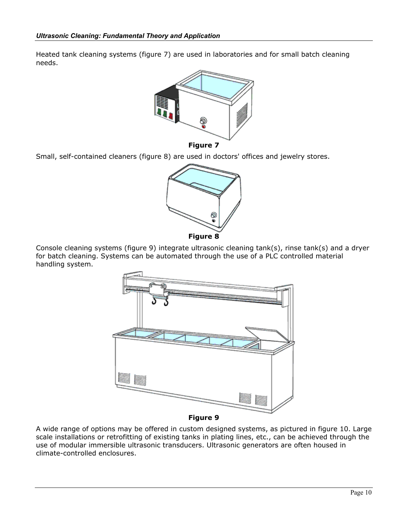Heated tank cleaning systems (figure 7) are used in laboratories and for small batch cleaning needs.





Small, self-contained cleaners (figure 8) are used in doctors' offices and jewelry stores.





Console cleaning systems (figure 9) integrate ultrasonic cleaning tank(s), rinse tank(s) and a dryer for batch cleaning. Systems can be automated through the use of a PLC controlled material handling system.



**Figure 9** 

A wide range of options may be offered in custom designed systems, as pictured in figure 10. Large scale installations or retrofitting of existing tanks in plating lines, etc., can be achieved through the use of modular immersible ultrasonic transducers. Ultrasonic generators are often housed in climate-controlled enclosures.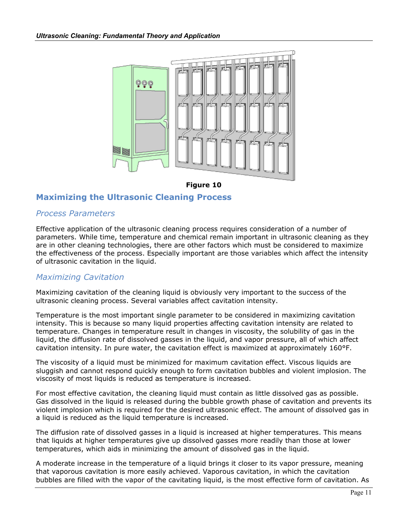

#### **Figure 10**

#### **Maximizing the Ultrasonic Cleaning Process**

#### *Process Parameters*

Effective application of the ultrasonic cleaning process requires consideration of a number of parameters. While time, temperature and chemical remain important in ultrasonic cleaning as they are in other cleaning technologies, there are other factors which must be considered to maximize the effectiveness of the process. Especially important are those variables which affect the intensity of ultrasonic cavitation in the liquid.

### *Maximizing Cavitation*

Maximizing cavitation of the cleaning liquid is obviously very important to the success of the ultrasonic cleaning process. Several variables affect cavitation intensity.

Temperature is the most important single parameter to be considered in maximizing cavitation intensity. This is because so many liquid properties affecting cavitation intensity are related to temperature. Changes in temperature result in changes in viscosity, the solubility of gas in the liquid, the diffusion rate of dissolved gasses in the liquid, and vapor pressure, all of which affect cavitation intensity. In pure water, the cavitation effect is maximized at approximately 160°F.

The viscosity of a liquid must be minimized for maximum cavitation effect. Viscous liquids are sluggish and cannot respond quickly enough to form cavitation bubbles and violent implosion. The viscosity of most liquids is reduced as temperature is increased.

For most effective cavitation, the cleaning liquid must contain as little dissolved gas as possible. Gas dissolved in the liquid is released during the bubble growth phase of cavitation and prevents its violent implosion which is required for the desired ultrasonic effect. The amount of dissolved gas in a liquid is reduced as the liquid temperature is increased.

The diffusion rate of dissolved gasses in a liquid is increased at higher temperatures. This means that liquids at higher temperatures give up dissolved gasses more readily than those at lower temperatures, which aids in minimizing the amount of dissolved gas in the liquid.

A moderate increase in the temperature of a liquid brings it closer to its vapor pressure, meaning that vaporous cavitation is more easily achieved. Vaporous cavitation, in which the cavitation bubbles are filled with the vapor of the cavitating liquid, is the most effective form of cavitation. As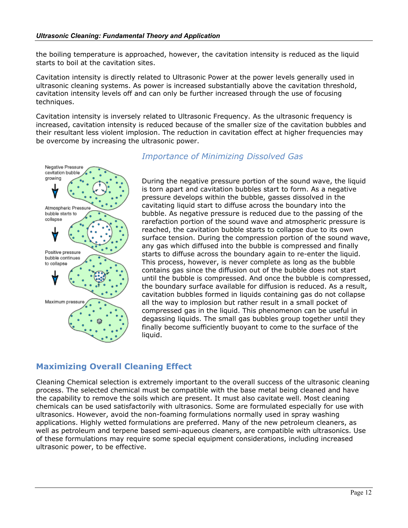the boiling temperature is approached, however, the cavitation intensity is reduced as the liquid starts to boil at the cavitation sites.

Cavitation intensity is directly related to Ultrasonic Power at the power levels generally used in ultrasonic cleaning systems. As power is increased substantially above the cavitation threshold, cavitation intensity levels off and can only be further increased through the use of focusing techniques.

Cavitation intensity is inversely related to Ultrasonic Frequency. As the ultrasonic frequency is increased, cavitation intensity is reduced because of the smaller size of the cavitation bubbles and their resultant less violent implosion. The reduction in cavitation effect at higher frequencies may be overcome by increasing the ultrasonic power.



#### *Importance of Minimizing Dissolved Gas*

During the negative pressure portion of the sound wave, the liquid is torn apart and cavitation bubbles start to form. As a negative pressure develops within the bubble, gasses dissolved in the cavitating liquid start to diffuse across the boundary into the bubble. As negative pressure is reduced due to the passing of the rarefaction portion of the sound wave and atmospheric pressure is reached, the cavitation bubble starts to collapse due to its own surface tension. During the compression portion of the sound wave, any gas which diffused into the bubble is compressed and finally starts to diffuse across the boundary again to re-enter the liquid. This process, however, is never complete as long as the bubble contains gas since the diffusion out of the bubble does not start until the bubble is compressed. And once the bubble is compressed, the boundary surface available for diffusion is reduced. As a result, cavitation bubbles formed in liquids containing gas do not collapse all the way to implosion but rather result in a small pocket of compressed gas in the liquid. This phenomenon can be useful in degassing liquids. The small gas bubbles group together until they finally become sufficiently buoyant to come to the surface of the liquid.

### **Maximizing Overall Cleaning Effect**

Cleaning Chemical selection is extremely important to the overall success of the ultrasonic cleaning process. The selected chemical must be compatible with the base metal being cleaned and have the capability to remove the soils which are present. It must also cavitate well. Most cleaning chemicals can be used satisfactorily with ultrasonics. Some are formulated especially for use with ultrasonics. However, avoid the non-foaming formulations normally used in spray washing applications. Highly wetted formulations are preferred. Many of the new petroleum cleaners, as well as petroleum and terpene based semi-aqueous cleaners, are compatible with ultrasonics. Use of these formulations may require some special equipment considerations, including increased ultrasonic power, to be effective.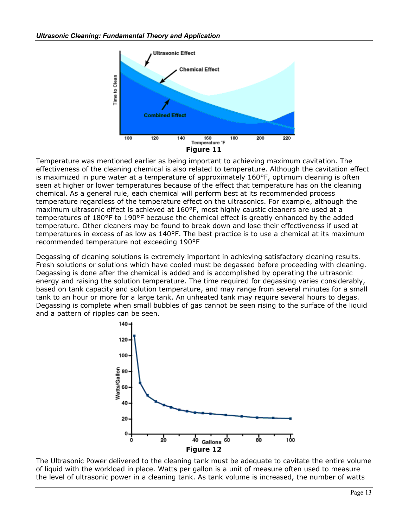

Temperature was mentioned earlier as being important to achieving maximum cavitation. The effectiveness of the cleaning chemical is also related to temperature. Although the cavitation effect is maximized in pure water at a temperature of approximately 160°F, optimum cleaning is often seen at higher or lower temperatures because of the effect that temperature has on the cleaning chemical. As a general rule, each chemical will perform best at its recommended process temperature regardless of the temperature effect on the ultrasonics. For example, although the maximum ultrasonic effect is achieved at 160°F, most highly caustic cleaners are used at a temperatures of 180°F to 190°F because the chemical effect is greatly enhanced by the added temperature. Other cleaners may be found to break down and lose their effectiveness if used at temperatures in excess of as low as 140°F. The best practice is to use a chemical at its maximum recommended temperature not exceeding 190°F

Degassing of cleaning solutions is extremely important in achieving satisfactory cleaning results. Fresh solutions or solutions which have cooled must be degassed before proceeding with cleaning. Degassing is done after the chemical is added and is accomplished by operating the ultrasonic energy and raising the solution temperature. The time required for degassing varies considerably, based on tank capacity and solution temperature, and may range from several minutes for a small tank to an hour or more for a large tank. An unheated tank may require several hours to degas. Degassing is complete when small bubbles of gas cannot be seen rising to the surface of the liquid and a pattern of ripples can be seen.



The Ultrasonic Power delivered to the cleaning tank must be adequate to cavitate the entire volume of liquid with the workload in place. Watts per gallon is a unit of measure often used to measure the level of ultrasonic power in a cleaning tank. As tank volume is increased, the number of watts